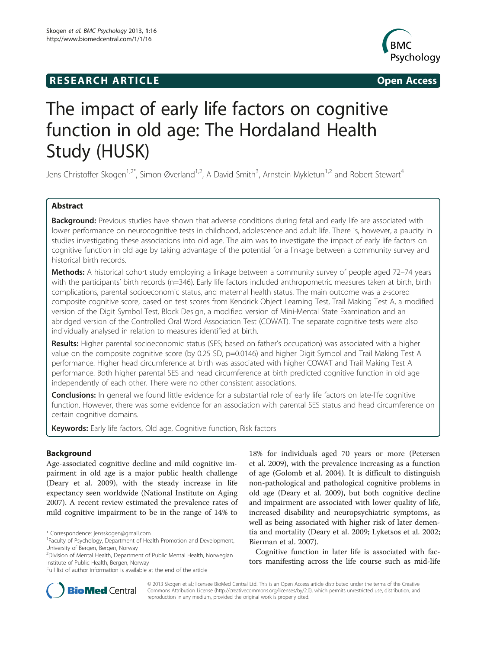## **RESEARCH ARTICLE Example 2014 The SEAR CH ACCESS**



# The impact of early life factors on cognitive function in old age: The Hordaland Health Study (HUSK)

Jens Christoffer Skogen<sup>1,2\*</sup>, Simon Øverland<sup>1,2</sup>, A David Smith<sup>3</sup>, Arnstein Mykletun<sup>1,2</sup> and Robert Stewart<sup>4</sup>

### Abstract

Background: Previous studies have shown that adverse conditions during fetal and early life are associated with lower performance on neurocognitive tests in childhood, adolescence and adult life. There is, however, a paucity in studies investigating these associations into old age. The aim was to investigate the impact of early life factors on cognitive function in old age by taking advantage of the potential for a linkage between a community survey and historical birth records.

Methods: A historical cohort study employing a linkage between a community survey of people aged 72–74 years with the participants' birth records (n=346). Early life factors included anthropometric measures taken at birth, birth complications, parental socioeconomic status, and maternal health status. The main outcome was a z-scored composite cognitive score, based on test scores from Kendrick Object Learning Test, Trail Making Test A, a modified version of the Digit Symbol Test, Block Design, a modified version of Mini-Mental State Examination and an abridged version of the Controlled Oral Word Association Test (COWAT). The separate cognitive tests were also individually analysed in relation to measures identified at birth.

Results: Higher parental socioeconomic status (SES; based on father's occupation) was associated with a higher value on the composite cognitive score (by 0.25 SD, p=0.0146) and higher Digit Symbol and Trail Making Test A performance. Higher head circumference at birth was associated with higher COWAT and Trail Making Test A performance. Both higher parental SES and head circumference at birth predicted cognitive function in old age independently of each other. There were no other consistent associations.

Conclusions: In general we found little evidence for a substantial role of early life factors on late-life cognitive function. However, there was some evidence for an association with parental SES status and head circumference on certain cognitive domains.

Keywords: Early life factors, Old age, Cognitive function, Risk factors

#### Background

Age-associated cognitive decline and mild cognitive impairment in old age is a major public health challenge (Deary et al. [2009\)](#page-10-0), with the steady increase in life expectancy seen worldwide (National Institute on Aging [2007](#page-10-0)). A recent review estimated the prevalence rates of mild cognitive impairment to be in the range of 14% to

18% for individuals aged 70 years or more (Petersen et al. [2009\)](#page-10-0), with the prevalence increasing as a function of age (Golomb et al. [2004\)](#page-10-0). It is difficult to distinguish non-pathological and pathological cognitive problems in old age (Deary et al. [2009](#page-10-0)), but both cognitive decline and impairment are associated with lower quality of life, increased disability and neuropsychiatric symptoms, as well as being associated with higher risk of later dementia and mortality (Deary et al. [2009;](#page-10-0) Lyketsos et al. [2002](#page-10-0); Bierman et al. [2007](#page-10-0)).

Cognitive function in later life is associated with factors manifesting across the life course such as mid-life



© 2013 Skogen et al.; licensee BioMed Central Ltd. This is an Open Access article distributed under the terms of the Creative Commons Attribution License [\(http://creativecommons.org/licenses/by/2.0\)](http://creativecommons.org/licenses/by/2.0), which permits unrestricted use, distribution, and reproduction in any medium, provided the original work is properly cited.

<sup>\*</sup> Correspondence: [jensskogen@gmail.com](mailto:jensskogen@gmail.com) <sup>1</sup>

<sup>&</sup>lt;sup>1</sup> Faculty of Psychology, Department of Health Promotion and Development, University of Bergen, Bergen, Norway

<sup>2</sup> Division of Mental Health, Department of Public Mental Health, Norwegian Institute of Public Health, Bergen, Norway

Full list of author information is available at the end of the article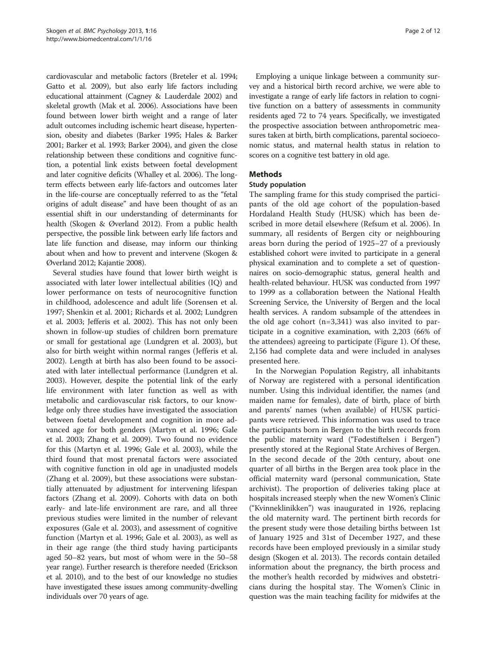<span id="page-1-0"></span>cardiovascular and metabolic factors (Breteler et al. [1994](#page-10-0); Gatto et al. [2009](#page-10-0)), but also early life factors including educational attainment (Cagney & Lauderdale [2002](#page-10-0)) and skeletal growth (Mak et al. [2006](#page-10-0)). Associations have been found between lower birth weight and a range of later adult outcomes including ischemic heart disease, hypertension, obesity and diabetes (Barker [1995;](#page-10-0) Hales & Barker [2001;](#page-10-0) Barker et al. [1993;](#page-10-0) Barker [2004](#page-10-0)), and given the close relationship between these conditions and cognitive function, a potential link exists between foetal development and later cognitive deficits (Whalley et al. [2006](#page-11-0)). The longterm effects between early life-factors and outcomes later in the life-course are conceptually referred to as the "fetal origins of adult disease" and have been thought of as an essential shift in our understanding of determinants for health (Skogen & Øverland [2012](#page-11-0)). From a public health perspective, the possible link between early life factors and late life function and disease, may inform our thinking about when and how to prevent and intervene (Skogen & Øverland [2012](#page-11-0); Kajantie [2008](#page-10-0)).

Several studies have found that lower birth weight is associated with later lower intellectual abilities (IQ) and lower performance on tests of neurocognitive function in childhood, adolescence and adult life (Sorensen et al. [1997](#page-11-0); Shenkin et al. [2001;](#page-11-0) Richards et al. [2002;](#page-11-0) Lundgren et al. [2003;](#page-10-0) Jefferis et al. [2002\)](#page-10-0). This has not only been shown in follow-up studies of children born premature or small for gestational age (Lundgren et al. [2003\)](#page-10-0), but also for birth weight within normal ranges (Jefferis et al. [2002](#page-10-0)). Length at birth has also been found to be associated with later intellectual performance (Lundgren et al. [2003](#page-10-0)). However, despite the potential link of the early life environment with later function as well as with metabolic and cardiovascular risk factors, to our knowledge only three studies have investigated the association between foetal development and cognition in more advanced age for both genders (Martyn et al. [1996](#page-10-0); Gale et al. [2003;](#page-10-0) Zhang et al. [2009](#page-11-0)). Two found no evidence for this (Martyn et al. [1996](#page-10-0); Gale et al. [2003](#page-10-0)), while the third found that most prenatal factors were associated with cognitive function in old age in unadjusted models (Zhang et al. [2009\)](#page-11-0), but these associations were substantially attenuated by adjustment for intervening lifespan factors (Zhang et al. [2009\)](#page-11-0). Cohorts with data on both early- and late-life environment are rare, and all three previous studies were limited in the number of relevant exposures (Gale et al. [2003\)](#page-10-0), and assessment of cognitive function (Martyn et al. [1996](#page-10-0); Gale et al. [2003\)](#page-10-0), as well as in their age range (the third study having participants aged 50–82 years, but most of whom were in the 50–58 year range). Further research is therefore needed (Erickson et al. [2010](#page-10-0)), and to the best of our knowledge no studies have investigated these issues among community-dwelling individuals over 70 years of age.

Employing a unique linkage between a community survey and a historical birth record archive, we were able to investigate a range of early life factors in relation to cognitive function on a battery of assessments in community residents aged 72 to 74 years. Specifically, we investigated the prospective association between anthropometric measures taken at birth, birth complications, parental socioeconomic status, and maternal health status in relation to scores on a cognitive test battery in old age.

#### Methods

#### Study population

The sampling frame for this study comprised the participants of the old age cohort of the population-based Hordaland Health Study (HUSK) which has been described in more detail elsewhere (Refsum et al. [2006](#page-10-0)). In summary, all residents of Bergen city or neighbouring areas born during the period of 1925–27 of a previously established cohort were invited to participate in a general physical examination and to complete a set of questionnaires on socio-demographic status, general health and health-related behaviour. HUSK was conducted from 1997 to 1999 as a collaboration between the National Health Screening Service, the University of Bergen and the local health services. A random subsample of the attendees in the old age cohort (n=3,341) was also invited to participate in a cognitive examination, with 2,203 (66% of the attendees) agreeing to participate (Figure [1](#page-2-0)). Of these, 2,156 had complete data and were included in analyses presented here.

In the Norwegian Population Registry, all inhabitants of Norway are registered with a personal identification number. Using this individual identifier, the names (and maiden name for females), date of birth, place of birth and parents' names (when available) of HUSK participants were retrieved. This information was used to trace the participants born in Bergen to the birth records from the public maternity ward ("Fødestiftelsen i Bergen") presently stored at the Regional State Archives of Bergen. In the second decade of the 20th century, about one quarter of all births in the Bergen area took place in the official maternity ward (personal communication, State archivist). The proportion of deliveries taking place at hospitals increased steeply when the new Women's Clinic ("Kvinneklinikken") was inaugurated in 1926, replacing the old maternity ward. The pertinent birth records for the present study were those detailing births between 1st of January 1925 and 31st of December 1927, and these records have been employed previously in a similar study design (Skogen et al. [2013](#page-11-0)). The records contain detailed information about the pregnancy, the birth process and the mother's health recorded by midwives and obstetricians during the hospital stay. The Women's Clinic in question was the main teaching facility for midwifes at the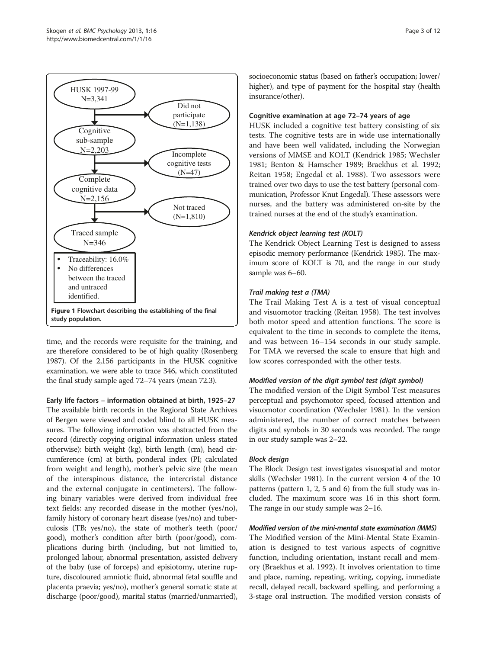<span id="page-2-0"></span>

time, and the records were requisite for the training, and are therefore considered to be of high quality (Rosenberg [1987\)](#page-11-0). Of the 2,156 participants in the HUSK cognitive examination, we were able to trace 346, which constituted the final study sample aged 72–74 years (mean 72.3).

Early life factors – information obtained at birth, 1925–27

The available birth records in the Regional State Archives of Bergen were viewed and coded blind to all HUSK measures. The following information was abstracted from the record (directly copying original information unless stated otherwise): birth weight (kg), birth length (cm), head circumference (cm) at birth, ponderal index (PI; calculated from weight and length), mother's pelvic size (the mean of the interspinous distance, the intercristal distance and the external conjugate in centimeters). The following binary variables were derived from individual free text fields: any recorded disease in the mother (yes/no), family history of coronary heart disease (yes/no) and tuberculosis (TB; yes/no), the state of mother's teeth (poor/ good), mother's condition after birth (poor/good), complications during birth (including, but not limitied to, prolonged labour, abnormal presentation, assisted delivery of the baby (use of forceps) and episiotomy, uterine rupture, discoloured amniotic fluid, abnormal fetal souffle and placenta praevia; yes/no), mother's general somatic state at discharge (poor/good), marital status (married/unmarried),

socioeconomic status (based on father's occupation; lower/ higher), and type of payment for the hospital stay (health insurance/other).

#### Cognitive examination at age 72–74 years of age

HUSK included a cognitive test battery consisting of six tests. The cognitive tests are in wide use internationally and have been well validated, including the Norwegian versions of MMSE and KOLT (Kendrick [1985;](#page-10-0) Wechsler [1981](#page-11-0); Benton & Hamscher [1989](#page-10-0); Braekhus et al. [1992](#page-10-0); Reitan [1958;](#page-10-0) Engedal et al. [1988\)](#page-10-0). Two assessors were trained over two days to use the test battery (personal communication, Professor Knut Engedal). These assessors were nurses, and the battery was administered on-site by the trained nurses at the end of the study's examination.

#### Kendrick object learning test (KOLT)

The Kendrick Object Learning Test is designed to assess episodic memory performance (Kendrick [1985\)](#page-10-0). The maximum score of KOLT is 70, and the range in our study sample was 6–60.

#### Trail making test a (TMA)

The Trail Making Test A is a test of visual conceptual and visuomotor tracking (Reitan [1958\)](#page-10-0). The test involves both motor speed and attention functions. The score is equivalent to the time in seconds to complete the items, and was between 16–154 seconds in our study sample. For TMA we reversed the scale to ensure that high and low scores corresponded with the other tests.

#### Modified version of the digit symbol test (digit symbol)

The modified version of the Digit Symbol Test measures perceptual and psychomotor speed, focused attention and visuomotor coordination (Wechsler [1981\)](#page-11-0). In the version administered, the number of correct matches between digits and symbols in 30 seconds was recorded. The range in our study sample was 2–22.

#### Block design

The Block Design test investigates visuospatial and motor skills (Wechsler [1981\)](#page-10-0). In the current version 4 of the 10 patterns (pattern 1, 2, 5 and 6) from the full study was included. The maximum score was 16 in this short form. The range in our study sample was 2–16.

#### Modified version of the mini-mental state examination (MMS)

The Modified version of the Mini-Mental State Examination is designed to test various aspects of cognitive function, including orientation, instant recall and memory (Braekhus et al. [1992](#page-10-0)). It involves orientation to time and place, naming, repeating, writing, copying, immediate recall, delayed recall, backward spelling, and performing a 3-stage oral instruction. The modified version consists of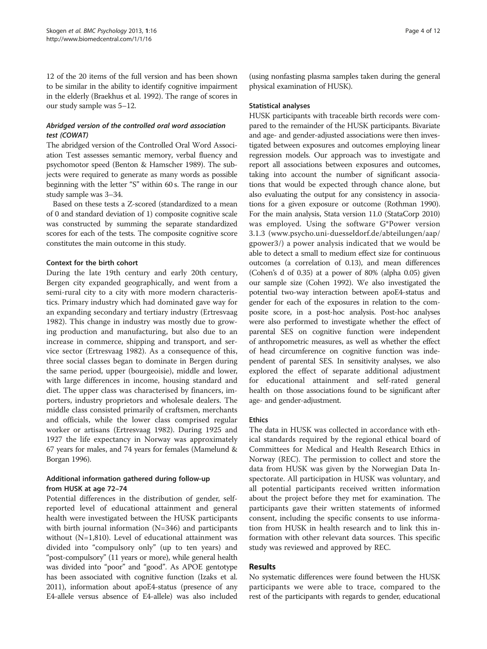12 of the 20 items of the full version and has been shown to be similar in the ability to identify cognitive impairment in the elderly (Braekhus et al. [1992](#page-10-0)). The range of scores in our study sample was 5–12.

#### Abridged version of the controlled oral word association test (COWAT)

The abridged version of the Controlled Oral Word Association Test assesses semantic memory, verbal fluency and psychomotor speed (Benton & Hamscher [1989\)](#page-10-0). The subjects were required to generate as many words as possible beginning with the letter "S" within 60 s. The range in our study sample was 3–34.

Based on these tests a Z-scored (standardized to a mean of 0 and standard deviation of 1) composite cognitive scale was constructed by summing the separate standardized scores for each of the tests. The composite cognitive score constitutes the main outcome in this study.

#### Context for the birth cohort

During the late 19th century and early 20th century, Bergen city expanded geographically, and went from a semi-rural city to a city with more modern characteristics. Primary industry which had dominated gave way for an expanding secondary and tertiary industry (Ertresvaag [1982](#page-10-0)). This change in industry was mostly due to growing production and manufacturing, but also due to an increase in commerce, shipping and transport, and service sector (Ertresvaag [1982\)](#page-10-0). As a consequence of this, three social classes began to dominate in Bergen during the same period, upper (bourgeoisie), middle and lower, with large differences in income, housing standard and diet. The upper class was characterised by financers, importers, industry proprietors and wholesale dealers. The middle class consisted primarily of craftsmen, merchants and officials, while the lower class comprised regular worker or artisans (Ertresvaag [1982](#page-10-0)). During 1925 and 1927 the life expectancy in Norway was approximately 67 years for males, and 74 years for females (Mamelund & Borgan [1996\)](#page-10-0).

#### Additional information gathered during follow-up from HUSK at age 72–74

Potential differences in the distribution of gender, selfreported level of educational attainment and general health were investigated between the HUSK participants with birth journal information (N=346) and participants without (N=1,810). Level of educational attainment was divided into "compulsory only" (up to ten years) and "post-compulsory" (11 years or more), while general health was divided into "poor" and "good". As APOE gentotype has been associated with cognitive function (Izaks et al. [2011\)](#page-10-0), information about apoE4-status (presence of any E4-allele versus absence of E4-allele) was also included (using nonfasting plasma samples taken during the general physical examination of HUSK).

#### Statistical analyses

HUSK participants with traceable birth records were compared to the remainder of the HUSK participants. Bivariate and age- and gender-adjusted associations were then investigated between exposures and outcomes employing linear regression models. Our approach was to investigate and report all associations between exposures and outcomes, taking into account the number of significant associations that would be expected through chance alone, but also evaluating the output for any consistency in associations for a given exposure or outcome (Rothman [1990](#page-11-0)). For the main analysis, Stata version 11.0 (StataCorp [2010](#page-11-0)) was employed. Using the software G\*Power version 3.1.3 ([www.psycho.uni-duesseldorf.de/abteilungen/aap/](http://www.psycho.uni-duesseldorf.de/abteilungen/aap/gpower3/) [gpower3/](http://www.psycho.uni-duesseldorf.de/abteilungen/aap/gpower3/)) a power analysis indicated that we would be able to detect a small to medium effect size for continuous outcomes (a correlation of 0.13), and mean differences (Cohen's d of 0.35) at a power of 80% (alpha 0.05) given our sample size (Cohen [1992\)](#page-10-0). We also investigated the potential two-way interaction between apoE4-status and gender for each of the exposures in relation to the composite score, in a post-hoc analysis. Post-hoc analyses were also performed to investigate whether the effect of parental SES on cognitive function were independent of anthropometric measures, as well as whether the effect of head circumference on cognitive function was independent of parental SES. In sensitivity analyses, we also explored the effect of separate additional adjustment for educational attainment and self-rated general health on those associations found to be significant after age- and gender-adjustment.

#### Ethics

The data in HUSK was collected in accordance with ethical standards required by the regional ethical board of Committees for Medical and Health Research Ethics in Norway (REC). The permission to collect and store the data from HUSK was given by the Norwegian Data Inspectorate. All participation in HUSK was voluntary, and all potential participants received written information about the project before they met for examination. The participants gave their written statements of informed consent, including the specific consents to use information from HUSK in health research and to link this information with other relevant data sources. This specific study was reviewed and approved by REC.

#### Results

No systematic differences were found between the HUSK participants we were able to trace, compared to the rest of the participants with regards to gender, educational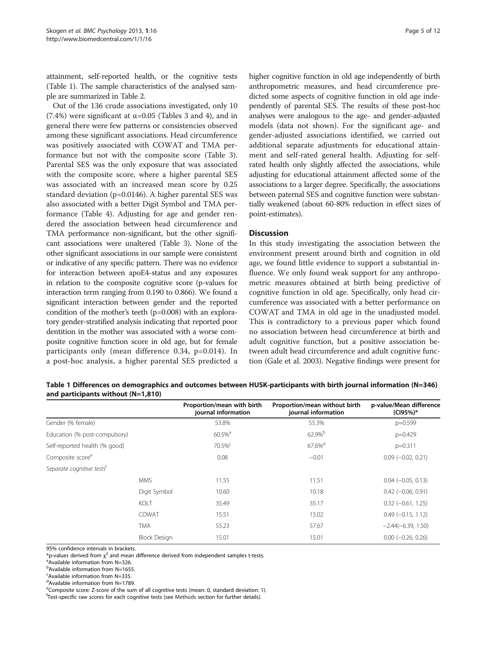attainment, self-reported health, or the cognitive tests (Table 1). The sample characteristics of the analysed sample are summarized in Table [2.](#page-5-0)

Out of the 136 crude associations investigated, only 10 (7.4%) were significant at  $\alpha$ =0.05 (Tables [3](#page-6-0) and [4](#page-7-0)), and in general there were few patterns or consistencies observed among these significant associations. Head circumference was positively associated with COWAT and TMA performance but not with the composite score (Table [3](#page-6-0)). Parental SES was the only exposure that was associated with the composite score, where a higher parental SES was associated with an increased mean score by 0.25 standard deviation (p=0.0146). A higher parental SES was also associated with a better Digit Symbol and TMA performance (Table [4](#page-7-0)). Adjusting for age and gender rendered the association between head circumference and TMA performance non-significant, but the other significant associations were unaltered (Table [3](#page-6-0)). None of the other significant associations in our sample were consistent or indicative of any specific pattern. There was no evidence for interaction between apoE4-status and any exposures in relation to the composite cognitive score (p-values for interaction term ranging from 0.190 to 0.866). We found a significant interaction between gender and the reported condition of the mother's teeth (p=0.008) with an exploratory gender-stratified analysis indicating that reported poor dentition in the mother was associated with a worse composite cognitive function score in old age, but for female participants only (mean difference 0.34, p=0.014). In a post-hoc analysis, a higher parental SES predicted a higher cognitive function in old age independently of birth anthropometric measures, and head circumference predicted some aspects of cognitive function in old age independently of parental SES. The results of these post-hoc analyses were analogous to the age- and gender-adjusted models (data not shown). For the significant age- and gender-adjusted associations identified, we carried out additional separate adjustments for educational attainment and self-rated general health. Adjusting for selfrated health only slightly affected the associations, while adjusting for educational attainment affected some of the associations to a larger degree. Specifically, the associations between paternal SES and cognitive function were substantially weakened (about 60-80% reduction in effect sizes of point-estimates).

#### **Discussion**

In this study investigating the association between the environment present around birth and cognition in old age, we found little evidence to support a substantial influence. We only found weak support for any anthropometric measures obtained at birth being predictive of cognitive function in old age. Specifically, only head circumference was associated with a better performance on COWAT and TMA in old age in the unadjusted model. This is contradictory to a previous paper which found no association between head circumference at birth and adult cognitive function, but a positive association between adult head circumference and adult cognitive function (Gale et al. [2003](#page-10-0)). Negative findings were present for

| Table 1 Differences on demographics and outcomes between HUSK-participants with birth journal information (N=346) |  |  |
|-------------------------------------------------------------------------------------------------------------------|--|--|
| and participants without $(N=1,810)$                                                                              |  |  |

|                                       |                     | Proportion/mean with birth<br>journal information | Proportion/mean without birth<br>journal information | p-value/Mean difference<br>(CI95%)* |
|---------------------------------------|---------------------|---------------------------------------------------|------------------------------------------------------|-------------------------------------|
| Gender (% female)                     |                     | 53.8%                                             | 55.3%                                                | $p=0.599$                           |
| Education (% post-compulsory)         |                     | $60.5%$ <sup>a</sup>                              | 62.9%b                                               | $p=0.429$                           |
| Self-reported health (% good)         |                     | $70.5\%$ <sup>c</sup>                             | 67.6% <sup>d</sup>                                   | $p=0.311$                           |
| Composite score <sup>e</sup>          |                     | 0.08                                              | $-0.01$                                              | $0.09$ ( $-0.02$ , 0.21)            |
| Separate cognitive tests <sup>t</sup> |                     |                                                   |                                                      |                                     |
|                                       | <b>MMS</b>          | 11.55                                             | 11.51                                                | $0.04 (-0.05, 0.13)$                |
|                                       | Digit Symbol        | 10.60                                             | 10.18                                                | $0.42$ ( $-0.06$ , $0.91$ )         |
|                                       | <b>KOLT</b>         | 35.49                                             | 35.17                                                | $0.32$ ( $-0.61$ , 1.25)            |
|                                       | COWAT               | 15.51                                             | 15.02                                                | $0.49$ ( $-0.15$ , 1.12)            |
|                                       | <b>TMA</b>          | 55.23                                             | 57.67                                                | $-2.44(-6.39, 1.50)$                |
|                                       | <b>Block Design</b> | 15.01                                             | 15.01                                                | $0.00$ ( $-0.26$ , $0.26$ )         |

95% confidence intervals in brackets.

\*p-values derived from  $\chi^2$  and mean difference derived from independent samples t-tests.

Available information from N=326.

**b**Available information from N=1655.

c Available information from N=335.

<sup>d</sup>Available information from N=1789.

<sup>e</sup>Composite score: Z-score of the sum of all cognitive tests (mean: 0, standard deviation: 1).

f Test-specific raw scores for each cognitive tests (see [Methods](#page-1-0) section for further details).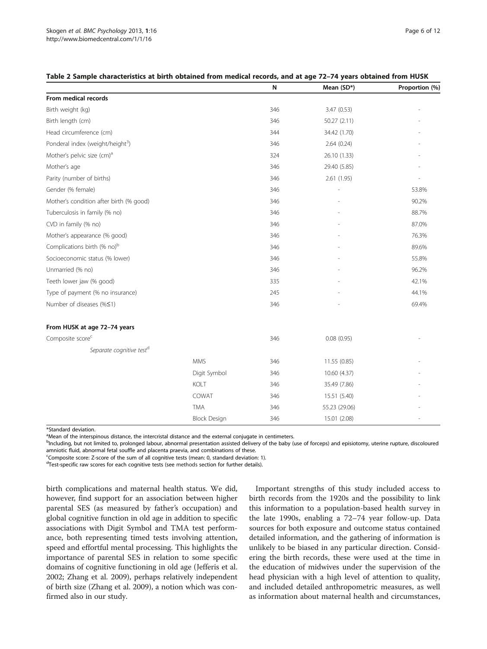|                                              |                     | N   | Mean (SD*)    | Proportion (%) |
|----------------------------------------------|---------------------|-----|---------------|----------------|
| From medical records                         |                     |     |               |                |
| Birth weight (kg)                            |                     | 346 | 3.47(0.53)    |                |
| Birth length (cm)                            |                     | 346 | 50.27 (2.11)  |                |
| Head circumference (cm)                      |                     | 344 | 34.42 (1.70)  |                |
| Ponderal index (weight/height <sup>3</sup> ) |                     | 346 | 2.64(0.24)    |                |
| Mother's pelvic size (cm) <sup>a</sup>       |                     | 324 | 26.10 (1.33)  |                |
| Mother's age                                 |                     | 346 | 29.40 (5.85)  |                |
| Parity (number of births)                    |                     | 346 | 2.61 (1.95)   |                |
| Gender (% female)                            |                     | 346 |               | 53.8%          |
| Mother's condition after birth (% good)      |                     | 346 |               | 90.2%          |
| Tuberculosis in family (% no)                |                     | 346 |               | 88.7%          |
| CVD in family (% no)                         |                     | 346 |               | 87.0%          |
| Mother's appearance (% good)                 |                     | 346 |               | 76.3%          |
| Complications birth (% no) <sup>b</sup>      |                     | 346 |               | 89.6%          |
| Socioeconomic status (% lower)               |                     | 346 |               | 55.8%          |
| Unmarried (% no)                             |                     | 346 |               | 96.2%          |
| Teeth lower jaw (% good)                     |                     | 335 |               | 42.1%          |
| Type of payment (% no insurance)             |                     | 245 |               | 44.1%          |
| Number of diseases (%≤1)                     |                     | 346 |               | 69.4%          |
| From HUSK at age 72-74 years                 |                     |     |               |                |
| Composite score <sup>c</sup>                 |                     | 346 | 0.08(0.95)    |                |
| Separate cognitive test <sup>d</sup>         |                     |     |               |                |
|                                              | <b>MMS</b>          | 346 | 11.55 (0.85)  |                |
|                                              | Digit Symbol        | 346 | 10.60 (4.37)  |                |
|                                              | KOLT                | 346 | 35.49 (7.86)  |                |
|                                              | COWAT               | 346 | 15.51 (5.40)  |                |
|                                              | <b>TMA</b>          | 346 | 55.23 (29.06) |                |
|                                              | <b>Block Design</b> | 346 | 15.01 (2.08)  |                |

#### <span id="page-5-0"></span>Table 2 Sample characteristics at birth obtained from medical records, and at age 72–74 years obtained from HUSK

\*Standard deviation.

<sup>a</sup>Mean of the interspinous distance, the intercristal distance and the external conjugate in centimeters.

b<br>Including, but not limited to, prolonged labour, abnormal presentation assisted delivery of the baby (use of forceps) and episiotomy, uterine rupture, discoloured amniotic fluid, abnormal fetal souffle and placenta praevia, and combinations of these.

Composite score: Z-score of the sum of all cognitive tests (mean: 0, standard deviation: 1).

<sup>d</sup>Test-specific raw scores for each cognitive tests (see [methods](#page-1-0) section for further details).

birth complications and maternal health status. We did, however, find support for an association between higher parental SES (as measured by father's occupation) and global cognitive function in old age in addition to specific associations with Digit Symbol and TMA test performance, both representing timed tests involving attention, speed and effortful mental processing. This highlights the importance of parental SES in relation to some specific domains of cognitive functioning in old age (Jefferis et al. [2002](#page-10-0); Zhang et al. [2009](#page-11-0)), perhaps relatively independent of birth size (Zhang et al. [2009](#page-11-0)), a notion which was confirmed also in our study.

Important strengths of this study included access to birth records from the 1920s and the possibility to link this information to a population-based health survey in the late 1990s, enabling a 72–74 year follow-up. Data sources for both exposure and outcome status contained detailed information, and the gathering of information is unlikely to be biased in any particular direction. Considering the birth records, these were used at the time in the education of midwives under the supervision of the head physician with a high level of attention to quality, and included detailed anthropometric measures, as well as information about maternal health and circumstances,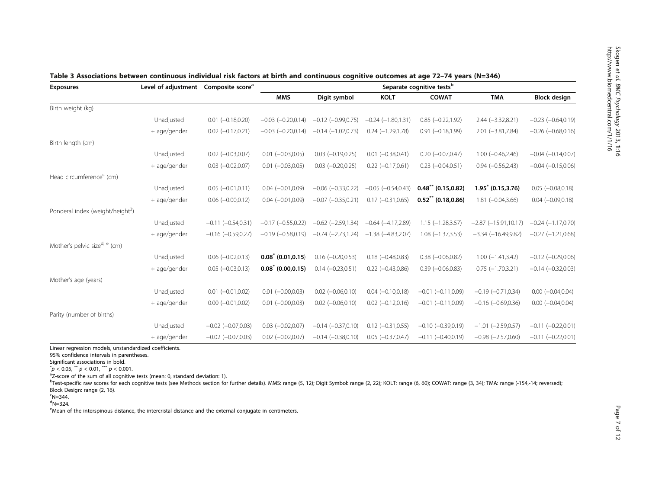| <b>Exposures</b>                             | Level of adjustment Composite score <sup>a</sup> |                         |                              |                          |                          | Separate cognitive tests <sup>b</sup> |                          |                         |
|----------------------------------------------|--------------------------------------------------|-------------------------|------------------------------|--------------------------|--------------------------|---------------------------------------|--------------------------|-------------------------|
|                                              |                                                  |                         | <b>MMS</b>                   | Digit symbol             | <b>KOLT</b>              | <b>COWAT</b>                          | <b>TMA</b>               | <b>Block design</b>     |
| Birth weight (kg)                            |                                                  |                         |                              |                          |                          |                                       |                          |                         |
|                                              | Unadjusted                                       | $0.01$ $(-0.18, 0.20)$  | $-0.03$ $(-0.20,0.14)$       | $-0.12$ $(-0.99, 0.75)$  | $-0.24$ $(-1.80, 1.31)$  | $0.85 (-0.22, 1.92)$                  | $2.44 (-3.32, 8.21)$     | $-0.23$ $(-0.64, 0.19)$ |
|                                              | + age/gender                                     | $0.02$ (-0.17,0.21)     | $-0.03$ $(-0.20,0.14)$       | $-0.14 (-1.02, 0.73)$    | $0.24 (-1.29, 1.78)$     | $0.91 (-0.18, 1.99)$                  | $2.01 (-3.81, 7.84)$     | $-0.26$ $(-0.68, 0.16)$ |
| Birth length (cm)                            |                                                  |                         |                              |                          |                          |                                       |                          |                         |
|                                              | Unadjusted                                       | $0.02 (-0.03, 0.07)$    | $0.01$ $(-0.03, 0.05)$       | $0.03$ $(-0.19, 0.25)$   | $0.01$ $(-0.38, 0.41)$   | $0.20 (-0.07, 0.47)$                  | $1.00 (-0.46, 2.46)$     | $-0.04$ $(-0.14, 0.07)$ |
|                                              | + age/gender                                     | $0.03 (-0.02, 0.07)$    | $0.01$ $(-0.03, 0.05)$       | $0.03$ $(-0.20, 0.25)$   | $0.22 (-0.17, 0.61)$     | $0.23$ $(-0.04, 0.51)$                | $0.94 (-0.56, 2.43)$     | $-0.04$ $(-0.15,0.06)$  |
| Head circumference <sup>c</sup> (cm)         |                                                  |                         |                              |                          |                          |                                       |                          |                         |
|                                              | Unadjusted                                       | $0.05 (-0.01, 0.11)$    | $0.04 (-0.01, 0.09)$         | $-0.06$ $(-0.33,0.22)$   | $-0.05$ $(-0.54, 0.43)$  | $0.48$ ** (0.15,0.82)                 | $1.95^* (0.15, 3.76)$    | $0.05$ ( $-0.08,0.18$ ) |
|                                              | + age/gender                                     | $0.06$ $(-0.00, 0.12)$  | $0.04 (-0.01, 0.09)$         | $-0.07$ $(-0.35, 0.21)$  | $0.17 (-0.31, 0.65)$     | $0.52$ ** (0.18,0.86)                 | $1.81 (-0.04, 3.66)$     | $0.04 (-0.09, 0.18)$    |
| Ponderal index (weight/height <sup>3</sup> ) |                                                  |                         |                              |                          |                          |                                       |                          |                         |
|                                              | Unadjusted                                       | $-0.11 (-0.54, 0.31)$   | $-0.17$ $(-0.55, 0.22)$      | $-0.62$ ( $-2.59,1.34$ ) | $-0.64$ $(-4.17,2.89)$   | $1.15 (-1.28, 3.57)$                  | $-2.87$ $(-15.91,10.17)$ | $-0.24$ $(-1.17, 0.70)$ |
|                                              | + age/gender                                     | $-0.16$ $(-0.59, 0.27)$ | $-0.19$ $(-0.58, 0.19)$      | $-0.74$ $(-2.73, 1.24)$  | $-1.38$ ( $-4.83,2.07$ ) | $1.08$ ( $-1.37,3.53$ )               | $-3.34 (-16.49.9.82)$    | $-0.27$ $(-1.21, 0.68)$ |
| Mother's pelvic size <sup>d, e</sup> (cm)    |                                                  |                         |                              |                          |                          |                                       |                          |                         |
|                                              | Unadjusted                                       | $0.06 (-0.02, 0.13)$    | $0.08^*$ (0.01,0.15)         | $0.16 (-0.20, 0.53)$     | $0.18 (-0.48, 0.83)$     | $0.38$ $(-0.06, 0.82)$                | $1.00 (-1.41, 3.42)$     | $-0.12$ $(-0.29, 0.06)$ |
|                                              | + age/gender                                     | $0.05$ $(-0.03, 0.13)$  | $0.08^{\degree}$ (0.00,0.15) | $0.14 (-0.23, 0.51)$     | $0.22 (-0.43, 0.86)$     | $0.39$ ( $-0.06,0.83$ )               | $0.75 (-1.70, 3.21)$     | $-0.14 (-0.32, 0.03)$   |
| Mother's age (years)                         |                                                  |                         |                              |                          |                          |                                       |                          |                         |
|                                              | Unadjusted                                       | $0.01$ $(-0.01, 0.02)$  | $0.01 (-0.00, 0.03)$         | $0.02$ ( $-0.06,0.10$ )  | $0.04 (-0.10, 0.18)$     | $-0.01$ $(-0.11, 0.09)$               | $-0.19(-0.71, 0.34)$     | $0.00 (-0.04, 0.04)$    |
|                                              | + age/gender                                     | $0.00 (-0.01, 0.02)$    | $0.01$ $(-0.00, 0.03)$       | $0.02$ ( $-0.06,0.10$ )  | $0.02$ (-0.12,0.16)      | $-0.01$ $(-0.11, 0.09)$               | $-0.16$ $(-0.69, 0.36)$  | $0.00 (-0.04, 0.04)$    |
| Parity (number of births)                    |                                                  |                         |                              |                          |                          |                                       |                          |                         |
|                                              | Unadjusted                                       | $-0.02$ $(-0.07, 0.03)$ | $0.03$ $(-0.02,0.07)$        | $-0.14 (-0.37, 0.10)$    | $0.12 (-0.31, 0.55)$     | $-0.10$ $(-0.39, 0.19)$               | $-1.01$ $(-2.59, 0.57)$  | $-0.11 (-0.22, 0.01)$   |
|                                              | + age/gender                                     | $-0.02$ $(-0.07, 0.03)$ | $0.02$ (-0.02,0.07)          | $-0.14 (-0.38, 0.10)$    | $0.05 (-0.37, 0.47)$     | $-0.11$ $(-0.40,0.19)$                | $-0.98$ $(-2.57,0.60)$   | $-0.11$ $(-0.22,0.01)$  |

#### <span id="page-6-0"></span>Table 3 Associations between continuous individual risk factors at birth and continuous cognitive outcomes at age 72–74 years (N=346)

Linear regression models, unstandardized coefficients.

95% confidence intervals in parentheses.

Significant associations in bold.

 $\stackrel{*}{P}$  < 0.05,  $\stackrel{**}{P}$  < 0.01,  $\stackrel{***}{P}$  < 0.001.<br><sup>a</sup>Z-score of the sum of all cognitive tests (mean: 0, standard deviation: 1).

<sup>b</sup>Test-specific raw scores for each cognitive tests (see [Methods](#page-1-0) section for further details). MMS: range (5, 12); Digit Symbol: range (2, 22); KOLT: range (6, 60); COWAT: range (3, 34); TMA: range (-154,-14; reversed); Block Design: range (2, 16).

 $\textdegree$ N=344.

 $d$ N=324.

<sup>e</sup>Mean of the interspinous distance, the intercristal distance and the external conjugate in centimeters.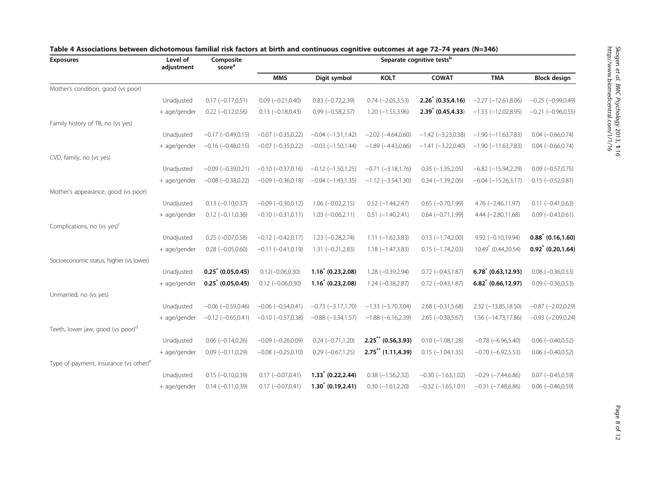2013, 1:16

| <b>Exposures</b>                                   | Level of<br>adjustment | Composite<br>score <sup>a</sup> | Separate cognitive tests <sup>b</sup> |                         |                          |                              |                           |                         |
|----------------------------------------------------|------------------------|---------------------------------|---------------------------------------|-------------------------|--------------------------|------------------------------|---------------------------|-------------------------|
|                                                    |                        |                                 | <b>MMS</b>                            | Digit symbol            | <b>KOLT</b>              | <b>COWAT</b>                 | <b>TMA</b>                | <b>Block design</b>     |
| Mother's condition, good (vs poor)                 |                        |                                 |                                       |                         |                          |                              |                           |                         |
|                                                    | Unadjusted             | $0.17 (-0.17, 0.51)$            | $0.09$ $(-0.21, 0.40)$                | $0.83$ $(-0.72, 2.39)$  | $0.74 (-2.05, 3.53)$     | $2.26^{\degree}$ (0.35,4.16) | $-2.27$ $(-12.61, 8.06)$  | $-0.25$ $(-0.99, 0.49)$ |
|                                                    | + age/gender           | $0.22$ (-0.12,0.56)             | $0.13 (-0.18, 0.43)$                  | $0.99 (-0.58, 2.57)$    | $1.20 (-1.55, 3.96)$     | $2.39$ (0.45,4.33)           | $-1.53$ $(-12.02,8.95)$   | $-0.21$ $(-0.96, 0.55)$ |
| Family history of TB, no (vs yes)                  |                        |                                 |                                       |                         |                          |                              |                           |                         |
|                                                    | Unadjusted             | $-0.17$ $(-0.49, 0.15)$         | $-0.07$ $(-0.35, 0.22)$               | $-0.04$ $(-1.51, 1.42)$ | $-2.02$ $(-4.64, 0.60)$  | $-1.42$ ( $-3.23,0.38$ )     | $-1.90$ ( $-11.63,7.83$ ) | $0.04 (-0.66, 0.74)$    |
|                                                    | + age/gender           | $-0.16$ $(-0.48, 0.15)$         | $-0.07$ $(-0.35, 0.22)$               | $-0.03$ $(-1.50, 1.44)$ | $-1.89$ ( $-4.43,0.66$ ) | $-1.41 (-3.22, 0.40)$        | $-1.90$ ( $-11.63,7.83$ ) | $0.04 (-0.66, 0.74)$    |
| CVD, family, no (vs yes)                           |                        |                                 |                                       |                         |                          |                              |                           |                         |
|                                                    | Unadjusted             | $-0.09$ $(-0.39, 0.21)$         | $-0.10$ $(-0.37,0.16)$                | $-0.12$ $(-1.50, 1.25)$ | $-0.71$ $(-3.18,1.76)$   | $0.35$ $(-1.35, 2.05)$       | $-6.82$ $(-15.94,2.29)$   | $0.09$ ( $-0.57,0.75$ ) |
|                                                    | + age/gender           | $-0.08$ $(-0.38, 0.22)$         | $-0.09$ $(-0.36,0.18)$                | $-0.04$ $(-1.43, 1.35)$ | $-1.12$ $(-3.54, 1.30)$  | $0.34 (-1.39, 2.06)$         | $-6.04$ $(-15.26,3.17)$   | $0.15 (-0.52, 0.81)$    |
| Mother's appearance, good (vs poor)                |                        |                                 |                                       |                         |                          |                              |                           |                         |
|                                                    | Unadjusted             | $0.13 (-0.10, 0.37)$            | $-0.09$ $(-0.30,0.12)$                | $1.06 (-0.02, 2.15)$    | $0.52$ (-1.44,2.47)      | $0.65 (-0.70, 1.99)$         | $4.76 (-2.46, 11.97)$     | $0.11 (-0.41, 0.63)$    |
|                                                    | + age/gender           | $0.12 (-0.11, 0.36)$            | $-0.10$ $(-0.31, 0.11)$               | $1.03 (-0.06, 2.11)$    | $0.51$ $(-1.40,2.41)$    | $0.64 (-0.71, 1.99)$         | $4.44 (-2.80, 11.68)$     | $0.09$ ( $-0.43,0.61$ ) |
| Complications, no (vs yes) <sup>c</sup>            |                        |                                 |                                       |                         |                          |                              |                           |                         |
|                                                    | Unadjusted             | $0.25 (-0.07, 0.58)$            | $-0.12$ $(-0.42, 0.17)$               | $1.23 (-0.28, 2.74)$    | $1.11 (-1.62, 3.83)$     | $0.13 (-1.74, 2.00)$         | $9.92 (-0.10, 19.94)$     | $0.88^*$ (0.16,1.60)    |
|                                                    | + age/gender           | $0.28 (-0.05, 0.60)$            | $-0.11 (-0.41, 0.19)$                 | $1.31 (-0.21, 2.83)$    | $1.18 (-1.47, 3.83)$     | $0.15 (-1.74, 2.03)$         | 10.49 (0.44,20.54)        | $0.92^* (0.20, 1.64)$   |
| Socioeconomic status, higher (vs lower)            |                        |                                 |                                       |                         |                          |                              |                           |                         |
|                                                    | Unadjusted             | $0.25^*$ (0.05,0.45)            | $0.12(-0.06, 0.30)$                   | $1.16^* (0.23, 2.08)$   | $1.28 (-0.39, 2.94)$     | $0.72 (-0.43, 1.87)$         | $6.78$ (0.63,12.93)       | $0.08 (-0.36, 0.53)$    |
|                                                    | + age/gender           | $0.25^* (0.05, 0.45)$           | $0.12 (-0.06, 0.30)$                  | $1.16^* (0.23, 2.08)$   | $1.24 (-0.38, 2.87)$     | $0.72 (-0.43, 1.87)$         | $6.82$ (0.66,12.97)       | $0.09$ ( $-0.36,0.53$ ) |
| Unmarried, no (vs yes)                             |                        |                                 |                                       |                         |                          |                              |                           |                         |
|                                                    | Unadjusted             | $-0.06$ $(-0.59, 0.46)$         | $-0.06$ $(-0.54, 0.41)$               | $-0.73$ $(-3.17,1.70)$  | $-1.33 (-5.70, 3.04)$    | $2.68$ $(-0.31,5.68)$        | $2.32$ (-13.85,18.50)     | $-0.87$ $(-2.02,0.29)$  |
|                                                    | + age/gender           | $-0.12$ $(-0.65, 0.41)$         | $-0.10$ $(-0.57,0.38)$                | $-0.88$ $(-3.34, 1.57)$ | $-1.88$ $(-6.16,2.39)$   | $2.65 (-0.38, 5.67)$         | $1.56$ ( $-14.73,17.86$ ) | $-0.93$ $(-2.09, 0.24)$ |
| Teeth, lower jaw, good (vs poor) <sup>d</sup>      |                        |                                 |                                       |                         |                          |                              |                           |                         |
|                                                    | Unadjusted             | $0.06$ $(-0.14, 0.26)$          | $-0.09$ $(-0.26, 0.09)$               | $0.24 (-0.71, 1.20)$    | $2.25***$ (0.56,3.93)    | $0.10 (-1.08, 1.28)$         | $-0.78$ $(-6.96,5.40)$    | $0.06$ ( $-0.40,0.52$ ) |
|                                                    | + age/gender           | $0.09$ ( $-0.11, 0.29$ )        | $-0.08$ $(-0.25,0.10)$                | $0.29 (-0.67, 1.25)$    | $2.75***$ (1.11,4.39)    | $0.15 (-1.04, 1.35)$         | $-0.70$ $(-6.92,5.53)$    | $0.06$ ( $-0.40,0.52$ ) |
| Type of payment, insurance (vs other) <sup>e</sup> |                        |                                 |                                       |                         |                          |                              |                           |                         |
|                                                    | Unadjusted             | $0.15 (-0.10, 0.39)$            | $0.17 (-0.07, 0.41)$                  | $1.33^* (0.22, 2.44)$   | $0.38$ $(-1.56, 2.32)$   | $-0.30$ $(-1.63, 1.02)$      | $-0.29$ $(-7.44, 6.86)$   | $0.07 (-0.45, 0.59)$    |
|                                                    | + age/gender           | $0.14 (-0.11, 0.39)$            | $0.17 (-0.07, 0.41)$                  | $1.30^*$ (0.19,2.41)    | $0.30 (-1.61, 2.20)$     | $-0.32$ $(-1.65, 1.01)$      | $-0.31 (-7.48, 6.86)$     | $0.06 (-0.46, 0.59)$    |

<span id="page-7-0"></span>

| Table 4 Associations between dichotomous familial risk factors at birth and continuous cognitive outcomes at age 72-74 years (N=346) |  |
|--------------------------------------------------------------------------------------------------------------------------------------|--|
|--------------------------------------------------------------------------------------------------------------------------------------|--|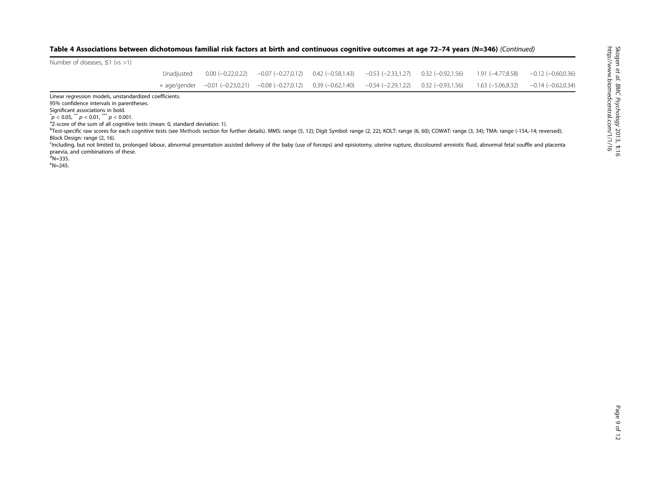#### Table 4 Associations between dichotomous familial risk factors at birth and continuous cognitive outcomes at age 72-74 years (N=346) (Continued)

| Number of diseases, $\leq$ 1 (vs >1)                                                               |            |                      |                                                |                                                                                                           |                     |                   |                          |
|----------------------------------------------------------------------------------------------------|------------|----------------------|------------------------------------------------|-----------------------------------------------------------------------------------------------------------|---------------------|-------------------|--------------------------|
|                                                                                                    | Unadiusted | $0.00 (-0.22, 0.22)$ | $-0.07$ ( $-0.27,0.12$ ) 0.42 ( $-0.58,1.43$ ) | $-0.53$ ( $-2.33,1.27$ ) 0.32 ( $-0.92,1.56$ )                                                            |                     | 1.91 (-4.77.8.58) | $-0.12$ ( $-0.60,0.36$ ) |
|                                                                                                    |            |                      |                                                | $+$ age/gender $-0.01$ $(-0.23,0.21)$ $-0.08$ $(-0.27,0.12)$ $0.39$ $(-0.62,1.40)$ $-0.54$ $(-2.29,1.22)$ | $0.32$ (-0.93,1.56) | 1.63 (-5.06,8.32) | $-0.14$ ( $-0.62,0.34$ ) |
| Linear regression models, unstandardized coefficients.<br>95% confidence intervals in parentheses. |            |                      |                                                |                                                                                                           |                     |                   |                          |

Significant associations in bold.

 $p^* p < 0.05$ ,  $p^* p < 0.01$ ,  $p^* p < 0.001$ .  $^{\circ}$ Z-score of the sum of all cognitive tests (mean: 0, standard deviation: 1).

<sup>b</sup>Test-specific raw scores for each cognitive tests (see [Methods](#page-1-0) section for further details). MMS: range (5, 12); Digit Symbol: range (2, 22); KOLT: range (6, 60); COWAT: range (3, 34); TMA: range (-154,-14; reversed); Block Design: range (2, 16).

c Including, but not limited to, prolonged labour, abnormal presentation assisted delivery of the baby (use of forceps) and episiotomy, uterine rupture, discoloured amniotic fluid, abnormal fetal souffle and placenta praevia, and combinations of these.

 $d$ N=335.

 $\mathrm{e}_{\mathrm{N=245}}$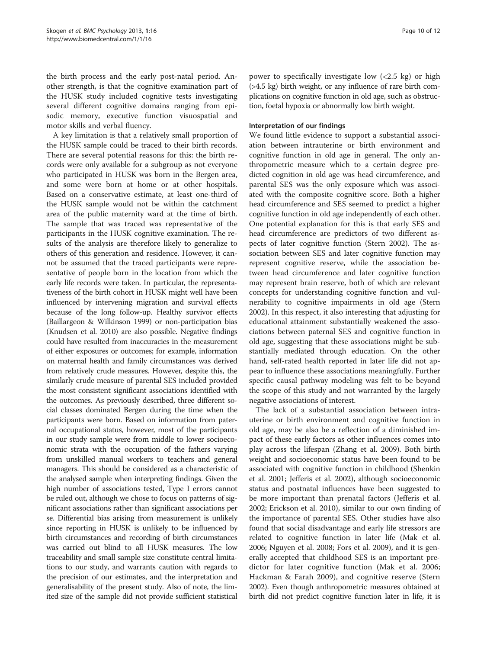the birth process and the early post-natal period. Another strength, is that the cognitive examination part of the HUSK study included cognitive tests investigating several different cognitive domains ranging from episodic memory, executive function visuospatial and motor skills and verbal fluency.

A key limitation is that a relatively small proportion of the HUSK sample could be traced to their birth records. There are several potential reasons for this: the birth records were only available for a subgroup as not everyone who participated in HUSK was born in the Bergen area, and some were born at home or at other hospitals. Based on a conservative estimate, at least one-third of the HUSK sample would not be within the catchment area of the public maternity ward at the time of birth. The sample that was traced was representative of the participants in the HUSK cognitive examination. The results of the analysis are therefore likely to generalize to others of this generation and residence. However, it cannot be assumed that the traced participants were representative of people born in the location from which the early life records were taken. In particular, the representativeness of the birth cohort in HUSK might well have been influenced by intervening migration and survival effects because of the long follow-up. Healthy survivor effects (Baillargeon & Wilkinson [1999\)](#page-10-0) or non-participation bias (Knudsen et al. [2010](#page-10-0)) are also possible. Negative findings could have resulted from inaccuracies in the measurement of either exposures or outcomes; for example, information on maternal health and family circumstances was derived from relatively crude measures. However, despite this, the similarly crude measure of parental SES included provided the most consistent significant associations identified with the outcomes. As previously described, three different social classes dominated Bergen during the time when the participants were born. Based on information from paternal occupational status, however, most of the participants in our study sample were from middle to lower socioeconomic strata with the occupation of the fathers varying from unskilled manual workers to teachers and general managers. This should be considered as a characteristic of the analysed sample when interpreting findings. Given the high number of associations tested, Type I errors cannot be ruled out, although we chose to focus on patterns of significant associations rather than significant associations per se. Differential bias arising from measurement is unlikely since reporting in HUSK is unlikely to be influenced by birth circumstances and recording of birth circumstances was carried out blind to all HUSK measures. The low traceability and small sample size constitute central limitations to our study, and warrants caution with regards to the precision of our estimates, and the interpretation and generalisability of the present study. Also of note, the limited size of the sample did not provide sufficient statistical power to specifically investigate low  $\langle$  <2.5 kg) or high (>4.5 kg) birth weight, or any influence of rare birth complications on cognitive function in old age, such as obstruction, foetal hypoxia or abnormally low birth weight.

#### Interpretation of our findings

We found little evidence to support a substantial association between intrauterine or birth environment and cognitive function in old age in general. The only anthropometric measure which to a certain degree predicted cognition in old age was head circumference, and parental SES was the only exposure which was associated with the composite cognitive score. Both a higher head circumference and SES seemed to predict a higher cognitive function in old age independently of each other. One potential explanation for this is that early SES and head circumference are predictors of two different aspects of later cognitive function (Stern [2002\)](#page-11-0). The association between SES and later cognitive function may represent cognitive reserve, while the association between head circumference and later cognitive function may represent brain reserve, both of which are relevant concepts for understanding cognitive function and vulnerability to cognitive impairments in old age (Stern [2002](#page-11-0)). In this respect, it also interesting that adjusting for educational attainment substantially weakened the associations between paternal SES and cognitive function in old age, suggesting that these associations might be substantially mediated through education. On the other hand, self-rated health reported in later life did not appear to influence these associations meaningfully. Further specific causal pathway modeling was felt to be beyond the scope of this study and not warranted by the largely negative associations of interest.

The lack of a substantial association between intrauterine or birth environment and cognitive function in old age, may be also be a reflection of a diminished impact of these early factors as other influences comes into play across the lifespan (Zhang et al. [2009\)](#page-11-0). Both birth weight and socioeconomic status have been found to be associated with cognitive function in childhood (Shenkin et al. [2001](#page-11-0); Jefferis et al. [2002](#page-10-0)), although socioeconomic status and postnatal influences have been suggested to be more important than prenatal factors (Jefferis et al. [2002](#page-10-0); Erickson et al. [2010\)](#page-10-0), similar to our own finding of the importance of parental SES. Other studies have also found that social disadvantage and early life stressors are related to cognitive function in later life (Mak et al. [2006](#page-10-0); Nguyen et al. [2008;](#page-10-0) Fors et al. [2009\)](#page-10-0), and it is generally accepted that childhood SES is an important predictor for later cognitive function (Mak et al. [2006](#page-10-0); Hackman & Farah [2009\)](#page-10-0), and cognitive reserve (Stern [2002\)](#page-11-0). Even though anthropometric measures obtained at birth did not predict cognitive function later in life, it is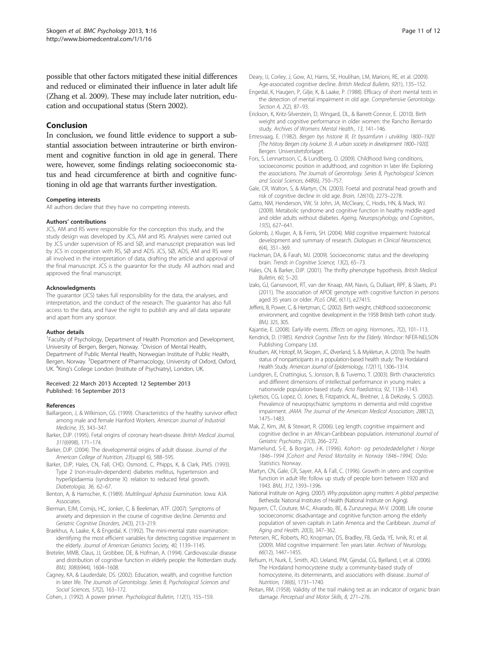<span id="page-10-0"></span>possible that other factors mitigated these initial differences and reduced or eliminated their influence in later adult life (Zhang et al. [2009\)](#page-11-0). These may include later nutrition, education and occupational status (Stern [2002\)](#page-11-0).

#### Conclusion

In conclusion, we found little evidence to support a substantial association between intrauterine or birth environment and cognitive function in old age in general. There were, however, some findings relating socioeconomic status and head circumference at birth and cognitive functioning in old age that warrants further investigation.

#### Competing interests

All authors declare that they have no competing interests.

#### Authors' contributions

JCS, AM and RS were responsible for the conception this study, and the study design was developed by JCS, AM and RS. Analyses were carried out by JCS under supervision of RS and SØ, and manuscript preparation was led by JCS in cooperation with RS, SØ and ADS. JCS, SØ, ADS, AM and RS were all involved in the interpretation of data, drafting the article and approval of the final manuscript. JCS is the guarantor for the study. All authors read and approved the final manuscript.

#### Acknowledgments

The guarantor (JCS) takes full responsibility for the data, the analyses, and interpretation, and the conduct of the research. The guarantor has also full access to the data, and have the right to publish any and all data separate and apart from any sponsor.

#### Author details

<sup>1</sup> Faculty of Psychology, Department of Health Promotion and Development, University of Bergen, Bergen, Norway. <sup>2</sup> Division of Mental Health, Department of Public Mental Health, Norwegian Institute of Public Health, Bergen, Norway. <sup>3</sup>Department of Pharmacology, University of Oxford, Oxford, UK. <sup>4</sup>King's College London (Institute of Psychiatry), London, UK.

#### Received: 22 March 2013 Accepted: 12 September 2013 Published: 16 September 2013

#### References

- Baillargeon, J, & Wilkinson, GS. (1999). Characteristics of the healthy survivor effect among male and female Hanford Workers. American Journal of Industrial Medicine, 35, 343–347.
- Barker, DJP. (1995). Fetal origins of coronary heart-disease. British Medical Journal, 311(6998), 171–174.
- Barker, DJP. (2004). The developmental origins of adult disease. Journal of the American College of Nutrition, 23(suppl 6), 588–595.
- Barker, DJP, Hales, CN, Fall, CHD, Osmond, C, Phipps, K, & Clark, PMS. (1993). Type 2 (non-insulin-dependent) diabetes mellitus, hypertension and hyperlipidaemia (syndrome X): relation to reduced fetal growth. Diabetologia, 36, 62–67.
- Benton, A, & Hamscher, K. (1989). Multilingual Aphasia Examination. Iowa: AJA Associates
- Bierman, EJM, Comijs, HC, Jonker, C, & Beekman, ATF. (2007). Symptoms of anxiety and depression in the course of cognitive decline. Dementia and Geriatric Cognitive Disorders, 24(3), 213–219.
- Braekhus, A, Laake, K, & Engedal, K. (1992). The mini-mental state examination: identifying the most efficient variables for detecting cognitive impairment in the elderly. Journal of American Geriatrics Society, 40, 1139–1145.
- Breteler, MMB, Claus, JJ, Grobbee, DE, & Hofman, A. (1994). Cardiovascular disease and distribution of cognitive function in elderly people: the Rotterdam study. BMJ, 308(6944), 1604–1608.
- Cagney, KA, & Lauderdale, DS. (2002). Education, wealth, and cognitive function in later life. The Journals of Gerontology. Series B, Psychological Sciences and Social Sciences, 57(2), 163–172.
- Cohen, J. (1992). A power primer. Psychological Bulletin, 112(1), 155–159.
- Deary, IJ, Corley, J, Gow, AJ, Harris, SE, Houlihan, LM, Marioni, RE, et al. (2009). Age-associated cognitive decline. British Medical Bulletin, 92(1), 135–152.
- Engedal, K, Haugen, P, Gilje, K, & Laake, P. (1988). Efficacy of short mental tests in the detection of mental impairment in old age. Comprehensive Gerontology. Section A, 2(2), 87–93.
- Erickson, K, Kritz-Silverstein, D, Wingard, DL, & Barrett-Connor, E. (2010). Birth weight and cognitive performance in older women: the Rancho Bernardo study. Archives of Womens Mental Health., 13, 141–146.
- Ertresvaag, E. (1982). Bergen bys historie III, Et bysamfunn i utvikling 1800–1920 [The history Bergen city (volume 3). A urban society in development 1800–1920]. Bergen: Universitetsforlaget.
- Fors, S, Lennartsson, C, & Lundberg, O. (2009). Childhood living conditions, socioeconomic position in adulthood, and cognition in later life: Exploring the associations. The Journals of Gerontology. Series B, Psychological Sciences and Social Sciences, 64B(6), 750–757.
- Gale, CR, Walton, S, & Martyn, CN. (2003). Foetal and postnatal head growth and risk of cognitive decline in old age. Brain, 126(10), 2273–2278.
- Gatto, NM, Henderson, VW, St John, JA, McCleary, C, Hodis, HN, & Mack, WJ. (2009). Metabolic syndrome and cognitive function in healthy middle-aged and older adults without diabetes. Ageing, Neuropscyhology, and Cognition., 15(5), 627–641.
- Golomb, J, Kluger, A, & Ferris, SH. (2004). Mild cognitive impairment: historical development and summary of research. Dialogues in Clinical Neuroscience, 6(4), 351–369.
- Hackman, DA, & Farah, MJ. (2009). Socioeconomic status and the developing brain. Trends in Cognitive Science, 13(2), 65–73.
- Hales, CN, & Barker, DJP. (2001). The thrifty phenotype hypothesis. British Medical Bulletin, 60, 5–20.
- Izaks, GJ, Gansevoort, RT, van der Knaap, AM, Navis, G, Dullaart, RPF, & Slaets, JPJ. (2011). The association of APOE genotype with cognitive function in persons aged 35 years or older. PLoS ONE, 6(11), e27415.
- Jefferis, B, Power, C, & Hertzman, C. (2002). Birth weight, childhood socioeconomic environment, and cognitive development in the 1958 British birth cohort study. BMJ, 325, 305.
- Kajantie, E. (2008). Early-life events. Effects on aging. Hormones., 7(2), 101-113.
- Kendrick, D. (1985). Kendrick Cognitive Tests for the Elderly. Windsor: NFER-NELSON Publishing Company Ltd.
- Knudsen, AK, Hotopf, M, Skogen, JC, Øverland, S, & Mykletun, A. (2010). The health status of nonparticipants in a population-based health study: The Hordaland Health Study. American Journal of Epidemiology, 172(11), 1306–1314.
- Lundgren, E, Cnattingius, S, Jonsson, B, & Tuvemo, T. (2003). Birth characteristics and different dimensions of intellectual performance in young males: a nationwide population-based study. Acta Paediatrica, 92, 1138–1143.
- Lyketsos, CG, Lopez, O, Jones, B, Fitzpatrick, AL, Breitner, J, & DeKosky, S. (2002). Prevalence of neuropsychiatric symptoms in dementia and mild cognitive impairment. JAMA: The Journal of the American Medical Association, 288(12), 1475–1483.
- Mak, Z, Kim, JM, & Stewart, R. (2006). Leg length, cognitive impairment and cognitive decline in an African-Caribbean population. International Journal of Geriatric Psychiatry, 21(3), 266–272.
- Mamelund, S-E, & Borgan, J-K. (1996). Kohort- og periodedødelighet i Norge 1846–1994 [Cohort and Period Mortality in Norway 1846–1994]. Oslo: Statistics Norway.
- Martyn, CN, Gale, CR, Sayer, AA, & Fall, C. (1996). Growth in utero and cognitive function in adult life: follow up study of people born between 1920 and 1943. BMJ, 312, 1393–1396.
- National Institute on Aging. (2007). Why population aging matters: A global perspective. Bethesda: National Institutes of Health (National Institute on Aging).
- Nguyen, CT, Couture, M-C, Alvarado, BE, & Zunzunegui, M-V. (2008). Life course socioeconomic disadvantage and cognitive function among the elderly population of seven capitals in Latin America and the Caribbean. Journal of Aging and Health, 20(3), 347–362.
- Petersen, RC, Roberts, RO, Knopman, DS, Bradley, FB, Geda, YE, Ivnik, RJ, et al. (2009). Mild cognitive impairment: Ten years later. Archives of Neurology, 66(12), 1447–1455.
- Refsum, H, Nurk, E, Smith, AD, Ueland, PM, Gjesdal, CG, Bjelland, I, et al. (2006). The Hordaland homocysteine study: a community-based study of homocysteine, its determinants, and associations with disease. Journal of Nutrition, 136(6), 1731–1740.
- Reitan, RM. (1958). Validity of the trail making test as an indicator of organic brain damage. Perceptual and Motor Skills, 8, 271–276.